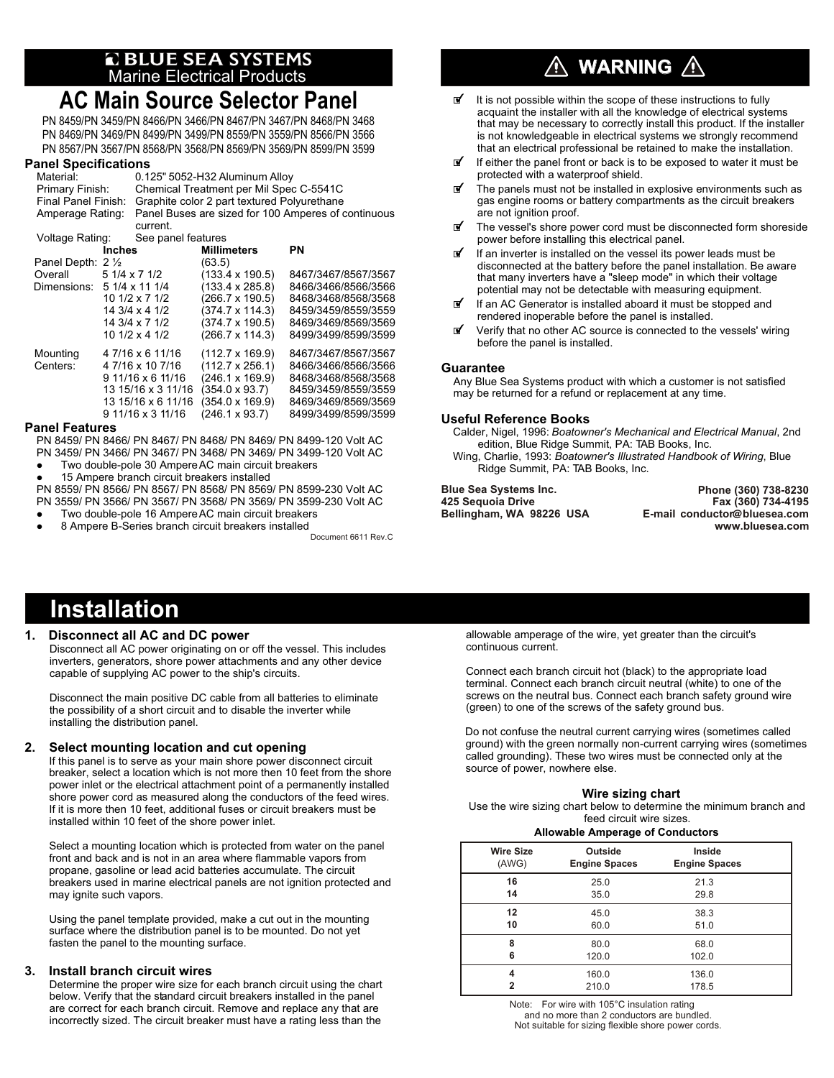# **a** BLUE SEA SYSTEMS<br>Marine Electrical Products

## **AC Main Source Selector Panel**

PN 8459/PN 3459/PN 8466/PN 3466/PN 8467/PN 3467/PN 8468/PN 3468 PN 8469/PN 3469/PN 8499/PN 3499/PN 8559/PN 3559/PN 8566/PN 3566 PN 8567/PN 3567/PN 8568/PN 3568/PN 8569/PN 3569/PN 8599/PN 3599

## **Panel Specifications**

|                  | . ano. opoomoanono         |                                                     |                                             |                                |                     |  |  |
|------------------|----------------------------|-----------------------------------------------------|---------------------------------------------|--------------------------------|---------------------|--|--|
|                  | Material:                  |                                                     |                                             | 0.125" 5052-H32 Aluminum Alloy |                     |  |  |
|                  | Primary Finish:            |                                                     | Chemical Treatment per Mil Spec C-5541C     |                                |                     |  |  |
|                  | <b>Final Panel Finish:</b> |                                                     | Graphite color 2 part textured Polyurethane |                                |                     |  |  |
| Amperage Rating: |                            | Panel Buses are sized for 100 Amperes of continuous |                                             |                                |                     |  |  |
|                  |                            |                                                     | current.                                    |                                |                     |  |  |
|                  |                            | Voltage Rating:                                     |                                             | See panel features             |                     |  |  |
|                  |                            | <b>Inches</b>                                       |                                             | <b>Millimeters</b>             | ΡN                  |  |  |
|                  | Panel Depth: 2 1/2         |                                                     |                                             | (63.5)                         |                     |  |  |
|                  | Overall                    |                                                     | 5 1/4 x 7 1/2                               | $(133.4 \times 190.5)$         | 8467/3467/8567/3567 |  |  |
|                  | Dimensions: 5 1/4 x 11 1/4 |                                                     |                                             | $(133.4 \times 285.8)$         | 8466/3466/8566/3566 |  |  |
|                  |                            |                                                     | 10 1/2 x 7 1/2                              | (266.7 x 190.5)                | 8468/3468/8568/3568 |  |  |
|                  |                            |                                                     | 14 3/4 x 4 1/2                              | $(374.7 \times 114.3)$         | 8459/3459/8559/3559 |  |  |
|                  |                            |                                                     | 14 3/4 x 7 1/2                              | $(374.7 \times 190.5)$         | 8469/3469/8569/3569 |  |  |
|                  |                            |                                                     | 10 1/2 x 4 1/2                              | $(266.7 \times 114.3)$         | 8499/3499/8599/3599 |  |  |
|                  | Mounting                   |                                                     | 47/16 x 6 11/16                             | $(112.7 \times 169.9)$         | 8467/3467/8567/3567 |  |  |
|                  | Centers:                   |                                                     | 4 7/16 x 10 7/16                            | $(112.7 \times 256.1)$         | 8466/3466/8566/3566 |  |  |
|                  |                            |                                                     | 9 11/16 x 6 11/16                           | $(246.1 \times 169.9)$         | 8468/3468/8568/3568 |  |  |
|                  |                            |                                                     | 13 15/16 x 3 11/16                          | $(354.0 \times 93.7)$          | 8459/3459/8559/3559 |  |  |
|                  |                            |                                                     | 13 15/16 x 6 11/16                          | $(354.0 \times 169.9)$         | 8469/3469/8569/3569 |  |  |
|                  |                            |                                                     | 9 11/16 x 3 11/16                           | (246.1 x 93.7)                 | 8499/3499/8599/3599 |  |  |

#### **Panel Features**

PN 8459/ PN 8466/ PN 8467/ PN 8468/ PN 8469/ PN 8499-120 Volt AC PN 3459/ PN 3466/ PN 3467/ PN 3468/ PN 3469/ PN 3499-120 Volt AC

- Two double-pole 30 Ampere AC main circuit breakers
- l 15 Ampere branch circuit breakers installed

PN 8559/ PN 8566/ PN 8567/ PN 8568/ PN 8569/ PN 8599-230 Volt AC PN 3559/ PN 3566/ PN 3567/ PN 3568/ PN 3569/ PN 3599-230 Volt AC

Two double-pole 16 Ampere AC main circuit breakers 8 Ampere B-Series branch circuit breakers installed

Document 6611 Rev.C

## **WARNING**

- It is not possible within the scope of these instructions to fully acquaint the installer with all the knowledge of electrical systems that may be necessary to correctly install this product. If the installer is not knowledgeable in electrical systems we strongly recommend that an electrical professional be retained to make the installation.
- If either the panel front or back is to be exposed to water it must be protected with a waterproof shield.
- $I$  The panels must not be installed in explosive environments such as gas engine rooms or battery compartments as the circuit breakers are not ignition proof.
- $\mathbb{F}$  The vessel's shore power cord must be disconnected form shoreside power before installing this electrical panel.
- $\mathbf{F}$  If an inverter is installed on the vessel its power leads must be disconnected at the battery before the panel installation. Be aware that many inverters have a "sleep mode" in which their voltage potential may not be detectable with measuring equipment.
- $\mathbb I$  If an AC Generator is installed aboard it must be stopped and rendered inoperable before the panel is installed.
- $\mathbb{F}$  Verify that no other AC source is connected to the vessels' wiring before the panel is installed.

#### **Guarantee**

Any Blue Sea Systems product with which a customer is not satisfied may be returned for a refund or replacement at any time.

#### **Useful Reference Books**

Calder, Nigel, 1996: *Boatowner's Mechanical and Electrical Manual*, 2nd edition, Blue Ridge Summit, PA: TAB Books, Inc. Wing, Charlie, 1993: *Boatowner's Illustrated Handbook of Wiring*, Blue Ridge Summit, PA: TAB Books, Inc.

**Blue Sea Systems Inc. 425 Sequoia Drive Bellingham, WA 98226 USA**

**Phone (360) 738-8230 Fax (360) 734-4195 E-mail conductor**@**bluesea.com www.bluesea.com**

## **Installation**

#### **1. Disconnect all AC and DC power**

Disconnect all AC power originating on or off the vessel. This includes inverters, generators, shore power attachments and any other device capable of supplying AC power to the ship's circuits.

Disconnect the main positive DC cable from all batteries to eliminate the possibility of a short circuit and to disable the inverter while installing the distribution panel.

#### **2. Select mounting location and cut opening**

If this panel is to serve as your main shore power disconnect circuit breaker, select a location which is not more then 10 feet from the shore power inlet or the electrical attachment point of a permanently installed shore power cord as measured along the conductors of the feed wires. If it is more then 10 feet, additional fuses or circuit breakers must be installed within 10 feet of the shore power inlet.

Select a mounting location which is protected from water on the panel front and back and is not in an area where flammable vapors from propane, gasoline or lead acid batteries accumulate. The circuit breakers used in marine electrical panels are not ignition protected and may ignite such vapors.

Using the panel template provided, make a cut out in the mounting surface where the distribution panel is to be mounted. Do not yet fasten the panel to the mounting surface.

#### **3. Install branch circuit wires**

Determine the proper wire size for each branch circuit using the chart below. Verify that the standard circuit breakers installed in the panel are correct for each branch circuit. Remove and replace any that are incorrectly sized. The circuit breaker must have a rating less than the

allowable amperage of the wire, yet greater than the circuit's continuous current.

Connect each branch circuit hot (black) to the appropriate load terminal. Connect each branch circuit neutral (white) to one of the screws on the neutral bus. Connect each branch safety ground wire (green) to one of the screws of the safety ground bus.

Do not confuse the neutral current carrying wires (sometimes called ground) with the green normally non-current carrying wires (sometimes called grounding). These two wires must be connected only at the source of power, nowhere else.

#### **Wire sizing chart**

Use the wire sizing chart below to determine the minimum branch and feed circuit wire sizes.

#### **Allowable Amperage of Conductors**

| <b>Wire Size</b> | Outside              | Inside               |
|------------------|----------------------|----------------------|
| (AWG)            | <b>Engine Spaces</b> | <b>Engine Spaces</b> |
| 16               | 25.0                 | 21.3                 |
| 14               | 35.0                 | 29.8                 |
| 12               | 45.0                 | 38.3                 |
| 10               | 60.0                 | 51.0                 |
| 8                | 80.0                 | 68.0                 |
| 6                | 120.0                | 102.0                |
| 4                | 160.0                | 136.0                |
| 2                | 210.0                | 178.5                |

Note: For wire with 105°C insulation rating and no more than 2 conductors are bundled. Not suitable for sizing flexible shore power cords.